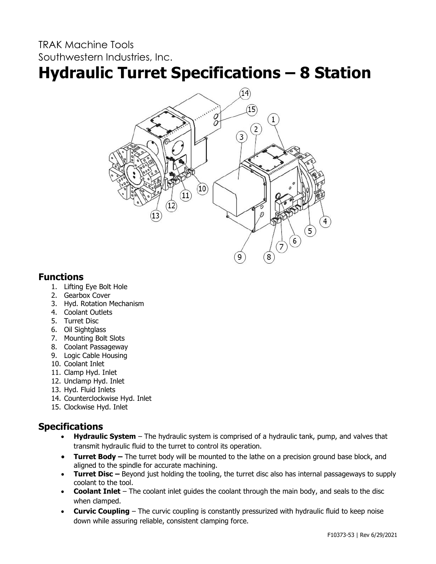## TRAK Machine Tools Southwestern Industries, Inc.

# **Hydraulic Turret Specifications – 8 Station**



#### **Functions**

- 1. Lifting Eye Bolt Hole
- 2. Gearbox Cover
- 3. Hyd. Rotation Mechanism
- 4. Coolant Outlets
- 5. Turret Disc
- 6. Oil Sightglass
- 7. Mounting Bolt Slots
- 8. Coolant Passageway
- 9. Logic Cable Housing
- 10. Coolant Inlet
- 11. Clamp Hyd. Inlet
- 12. Unclamp Hyd. Inlet
- 13. Hyd. Fluid Inlets
- 14. Counterclockwise Hyd. Inlet
- 15. Clockwise Hyd. Inlet

### **Specifications**

- **Hydraulic System** The hydraulic system is comprised of a hydraulic tank, pump, and valves that transmit hydraulic fluid to the turret to control its operation.
- **Turret Body –** The turret body will be mounted to the lathe on a precision ground base block, and aligned to the spindle for accurate machining.
- **Turret Disc** Beyond just holding the tooling, the turret disc also has internal passageways to supply coolant to the tool.
- **Coolant Inlet** The coolant inlet guides the coolant through the main body, and seals to the disc when clamped.
- **Curvic Coupling** The curvic coupling is constantly pressurized with hydraulic fluid to keep noise down while assuring reliable, consistent clamping force.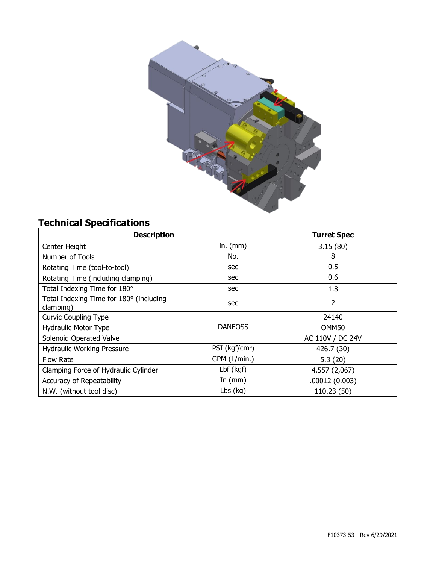

# **Technical Specifications**

| <b>Description</b>                                   |                            | <b>Turret Spec</b> |
|------------------------------------------------------|----------------------------|--------------------|
| Center Height                                        | in. $(mm)$                 | 3.15(80)           |
| Number of Tools                                      | No.                        | 8                  |
| Rotating Time (tool-to-tool)                         | sec                        | 0.5                |
| Rotating Time (including clamping)                   | sec                        | 0.6                |
| Total Indexing Time for 180°                         | sec                        | 1.8                |
| Total Indexing Time for 180° (including<br>clamping) | sec                        | 2                  |
| <b>Curvic Coupling Type</b>                          |                            | 24140              |
| Hydraulic Motor Type                                 | <b>DANFOSS</b>             | OMM50              |
| Solenoid Operated Valve                              |                            | AC 110V / DC 24V   |
| <b>Hydraulic Working Pressure</b>                    | PSI (kgf/cm <sup>2</sup> ) | 426.7 (30)         |
| <b>Flow Rate</b>                                     | GPM (L/min.)               | 5.3(20)            |
| Clamping Force of Hydraulic Cylinder                 | Lbf (kgf)                  | 4,557 (2,067)      |
| Accuracy of Repeatability                            | In $(mm)$                  | .00012(0.003)      |
| N.W. (without tool disc)                             | $Lbs$ (kg)                 | 110.23 (50)        |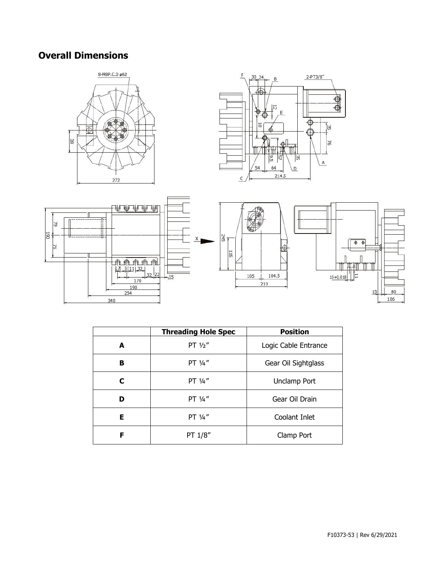## **Overall Dimensions**







|   | <b>Threading Hole Spec</b> | <b>Position</b>      |
|---|----------------------------|----------------------|
| A | PT $1/2$ "                 | Logic Cable Entrance |
| в | PT 1/4"                    | Gear Oil Sightglass  |
| C | PT $\frac{1}{4}$ "         | Unclamp Port         |
| D | PT 1/4"                    | Gear Oil Drain       |
| Е | PT 1/4"                    | Coolant Inlet        |
| F | PT 1/8"                    | Clamp Port           |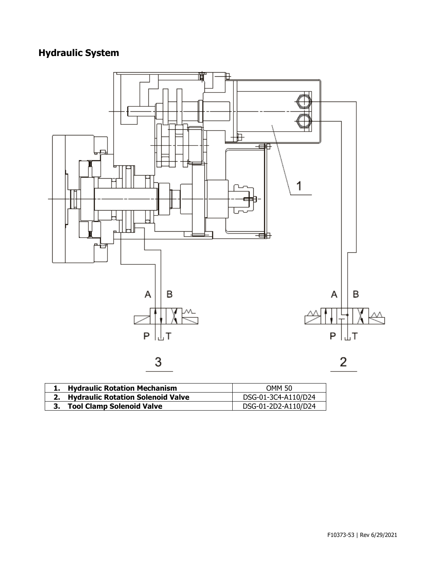# **Hydraulic System**



| 1. Hydraulic Rotation Mechanism      | <b>OMM 50</b>       |
|--------------------------------------|---------------------|
| 2. Hydraulic Rotation Solenoid Valve | DSG-01-3C4-A110/D24 |
| 3. Tool Clamp Solenoid Valve         | DSG-01-2D2-A110/D24 |